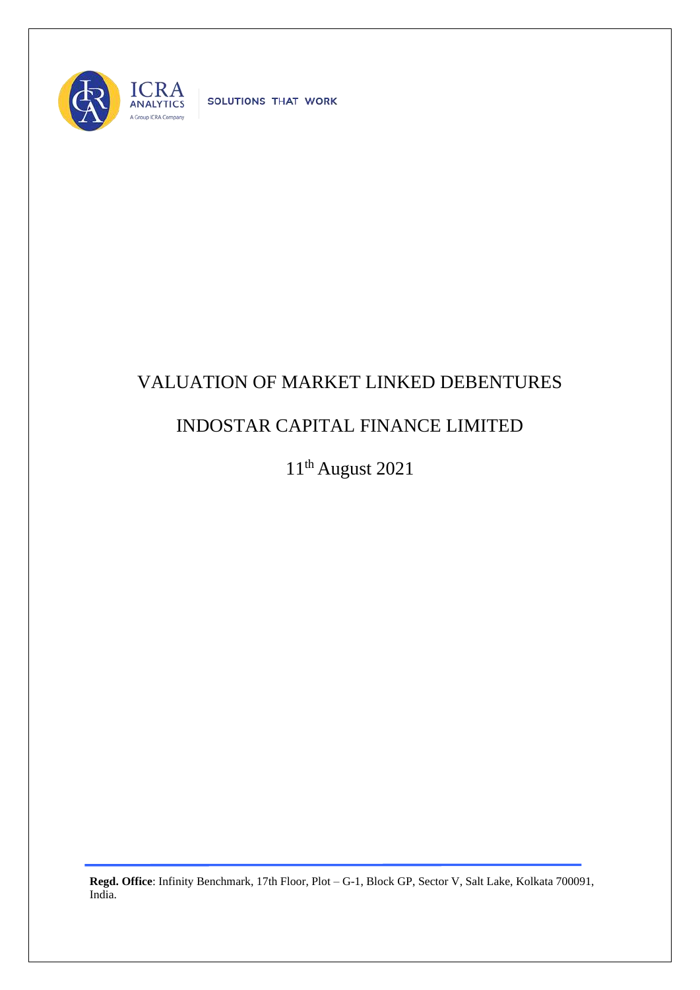

SOLUTIONS THAT WORK

## VALUATION OF MARKET LINKED DEBENTURES

## INDOSTAR CAPITAL FINANCE LIMITED

11th August 2021

**Regd. Office**: Infinity Benchmark, 17th Floor, Plot – G-1, Block GP, Sector V, Salt Lake, Kolkata 700091, India.